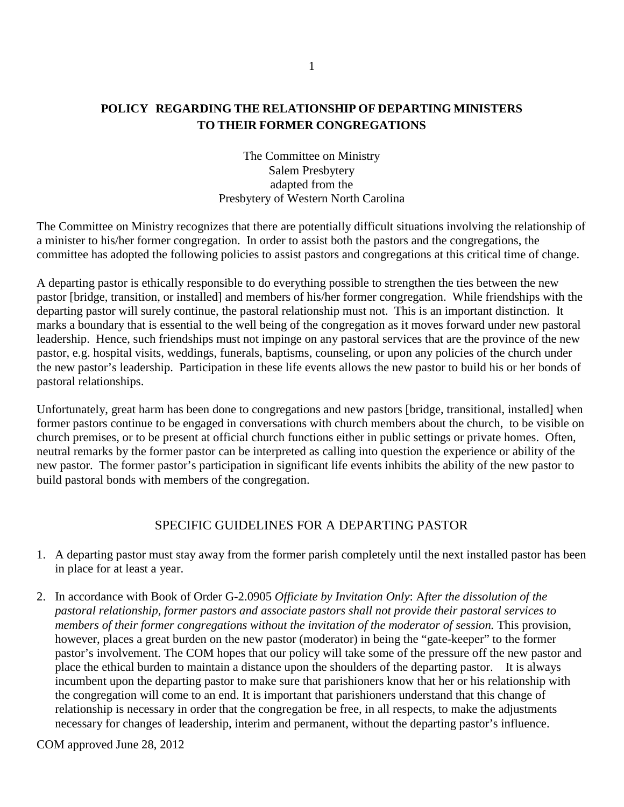# **POLICY REGARDING THE RELATIONSHIP OF DEPARTING MINISTERS TO THEIR FORMER CONGREGATIONS**

The Committee on Ministry Salem Presbytery adapted from the Presbytery of Western North Carolina

The Committee on Ministry recognizes that there are potentially difficult situations involving the relationship of a minister to his/her former congregation. In order to assist both the pastors and the congregations, the committee has adopted the following policies to assist pastors and congregations at this critical time of change.

A departing pastor is ethically responsible to do everything possible to strengthen the ties between the new pastor [bridge, transition, or installed] and members of his/her former congregation. While friendships with the departing pastor will surely continue, the pastoral relationship must not. This is an important distinction. It marks a boundary that is essential to the well being of the congregation as it moves forward under new pastoral leadership. Hence, such friendships must not impinge on any pastoral services that are the province of the new pastor, e.g. hospital visits, weddings, funerals, baptisms, counseling, or upon any policies of the church under the new pastor's leadership. Participation in these life events allows the new pastor to build his or her bonds of pastoral relationships.

Unfortunately, great harm has been done to congregations and new pastors [bridge, transitional, installed] when former pastors continue to be engaged in conversations with church members about the church, to be visible on church premises, or to be present at official church functions either in public settings or private homes. Often, neutral remarks by the former pastor can be interpreted as calling into question the experience or ability of the new pastor. The former pastor's participation in significant life events inhibits the ability of the new pastor to build pastoral bonds with members of the congregation.

# SPECIFIC GUIDELINES FOR A DEPARTING PASTOR

- 1. A departing pastor must stay away from the former parish completely until the next installed pastor has been in place for at least a year.
- 2. In accordance with Book of Order G-2.0905 *Officiate by Invitation Only*: A*fter the dissolution of the pastoral relationship, former pastors and associate pastors shall not provide their pastoral services to members of their former congregations without the invitation of the moderator of session.* This provision, however, places a great burden on the new pastor (moderator) in being the "gate-keeper" to the former pastor's involvement. The COM hopes that our policy will take some of the pressure off the new pastor and place the ethical burden to maintain a distance upon the shoulders of the departing pastor.It is always incumbent upon the departing pastor to make sure that parishioners know that her or his relationship with the congregation will come to an end. It is important that parishioners understand that this change of relationship is necessary in order that the congregation be free, in all respects, to make the adjustments necessary for changes of leadership, interim and permanent, without the departing pastor's influence.

COM approved June 28, 2012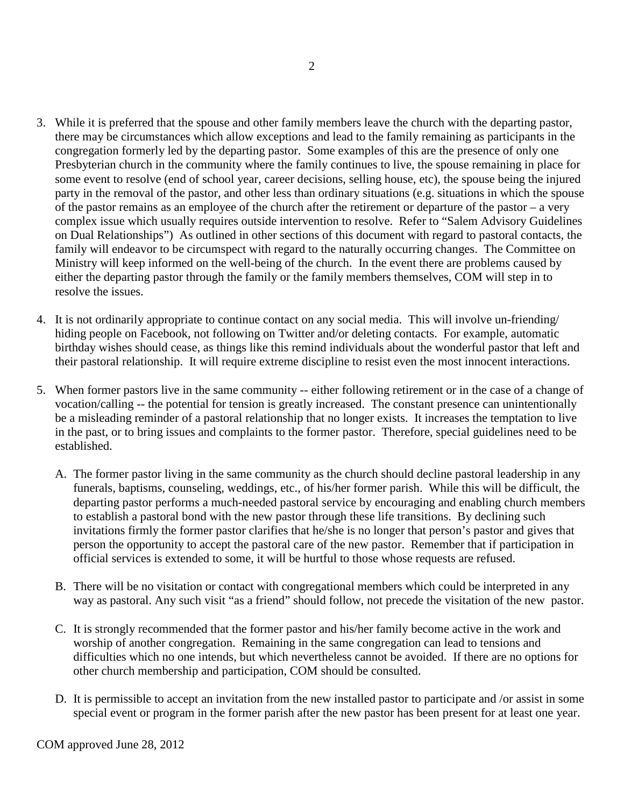- 3. While it is preferred that the spouse and other family members leave the church with the departing pastor, there may be circumstances which allow exceptions and lead to the family remaining as participants in the congregation formerly led by the departing pastor. Some examples of this are the presence of only one Presbyterian church in the community where the family continues to live, the spouse remaining in place for some event to resolve (end of school year, career decisions, selling house, etc), the spouse being the injured party in the removal of the pastor, and other less than ordinary situations (e.g. situations in which the spouse of the pastor remains as an employee of the church after the retirement or departure of the pastor – a very complex issue which usually requires outside intervention to resolve. Refer to "Salem Advisory Guidelines on Dual Relationships") As outlined in other sections of this document with regard to pastoral contacts, the family will endeavor to be circumspect with regard to the naturally occurring changes. The Committee on Ministry will keep informed on the well-being of the church. In the event there are problems caused by either the departing pastor through the family or the family members themselves, COM will step in to resolve the issues.
- 4. It is not ordinarily appropriate to continue contact on any social media. This will involve un-friending/ hiding people on Facebook, not following on Twitter and/or deleting contacts. For example, automatic birthday wishes should cease, as things like this remind individuals about the wonderful pastor that left and their pastoral relationship. It will require extreme discipline to resist even the most innocent interactions.
- 5. When former pastors live in the same community -- either following retirement or in the case of a change of vocation/calling -- the potential for tension is greatly increased. The constant presence can unintentionally be a misleading reminder of a pastoral relationship that no longer exists. It increases the temptation to live in the past, or to bring issues and complaints to the former pastor. Therefore, special guidelines need to be established.
	- A. The former pastor living in the same community as the church should decline pastoral leadership in any funerals, baptisms, counseling, weddings, etc., of his/her former parish. While this will be difficult, the departing pastor performs a much-needed pastoral service by encouraging and enabling church members to establish a pastoral bond with the new pastor through these life transitions. By declining such invitations firmly the former pastor clarifies that he/she is no longer that person's pastor and gives that person the opportunity to accept the pastoral care of the new pastor. Remember that if participation in official services is extended to some, it will be hurtful to those whose requests are refused.
	- B. There will be no visitation or contact with congregational members which could be interpreted in any way as pastoral. Any such visit "as a friend" should follow, not precede the visitation of the new pastor.
	- C. It is strongly recommended that the former pastor and his/her family become active in the work and worship of another congregation. Remaining in the same congregation can lead to tensions and difficulties which no one intends, but which nevertheless cannot be avoided. If there are no options for other church membership and participation, COM should be consulted.
	- D. It is permissible to accept an invitation from the new installed pastor to participate and /or assist in some special event or program in the former parish after the new pastor has been present for at least one year.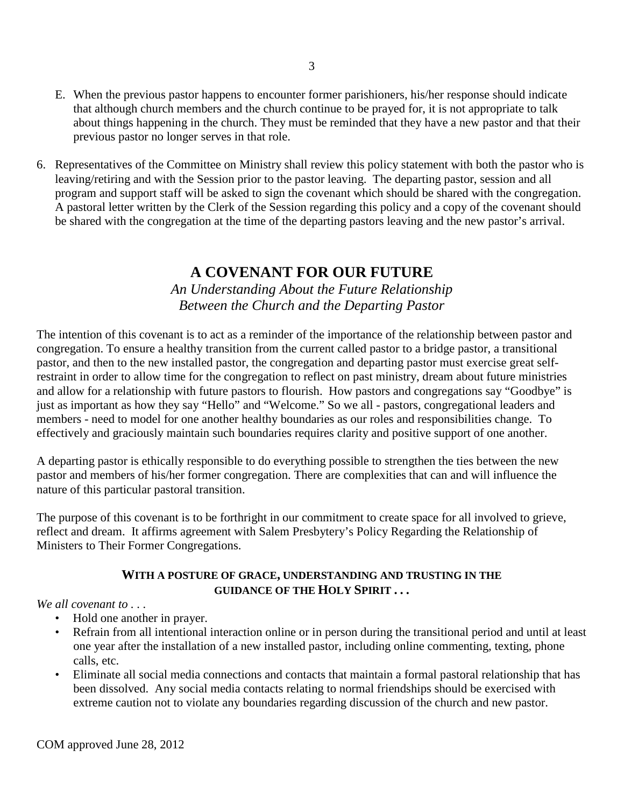- E. When the previous pastor happens to encounter former parishioners, his/her response should indicate that although church members and the church continue to be prayed for, it is not appropriate to talk about things happening in the church. They must be reminded that they have a new pastor and that their previous pastor no longer serves in that role.
- 6. Representatives of the Committee on Ministry shall review this policy statement with both the pastor who is leaving/retiring and with the Session prior to the pastor leaving. The departing pastor, session and all program and support staff will be asked to sign the covenant which should be shared with the congregation. A pastoral letter written by the Clerk of the Session regarding this policy and a copy of the covenant should be shared with the congregation at the time of the departing pastors leaving and the new pastor's arrival.

# **A COVENANT FOR OUR FUTURE**

*An Understanding About the Future Relationship Between the Church and the Departing Pastor*

The intention of this covenant is to act as a reminder of the importance of the relationship between pastor and congregation. To ensure a healthy transition from the current called pastor to a bridge pastor, a transitional pastor, and then to the new installed pastor, the congregation and departing pastor must exercise great selfrestraint in order to allow time for the congregation to reflect on past ministry, dream about future ministries and allow for a relationship with future pastors to flourish. How pastors and congregations say "Goodbye" is just as important as how they say "Hello" and "Welcome." So we all - pastors, congregational leaders and members - need to model for one another healthy boundaries as our roles and responsibilities change. To effectively and graciously maintain such boundaries requires clarity and positive support of one another.

A departing pastor is ethically responsible to do everything possible to strengthen the ties between the new pastor and members of his/her former congregation. There are complexities that can and will influence the nature of this particular pastoral transition.

The purpose of this covenant is to be forthright in our commitment to create space for all involved to grieve, reflect and dream. It affirms agreement with Salem Presbytery's Policy Regarding the Relationship of Ministers to Their Former Congregations.

## **WITH A POSTURE OF GRACE, UNDERSTANDING AND TRUSTING IN THE GUIDANCE OF THE HOLY SPIRIT . . .**

*We all covenant to . . .* 

- Hold one another in prayer.
- Refrain from all intentional interaction online or in person during the transitional period and until at least one year after the installation of a new installed pastor, including online commenting, texting, phone calls, etc.
- Eliminate all social media connections and contacts that maintain a formal pastoral relationship that has been dissolved. Any social media contacts relating to normal friendships should be exercised with extreme caution not to violate any boundaries regarding discussion of the church and new pastor.

COM approved June 28, 2012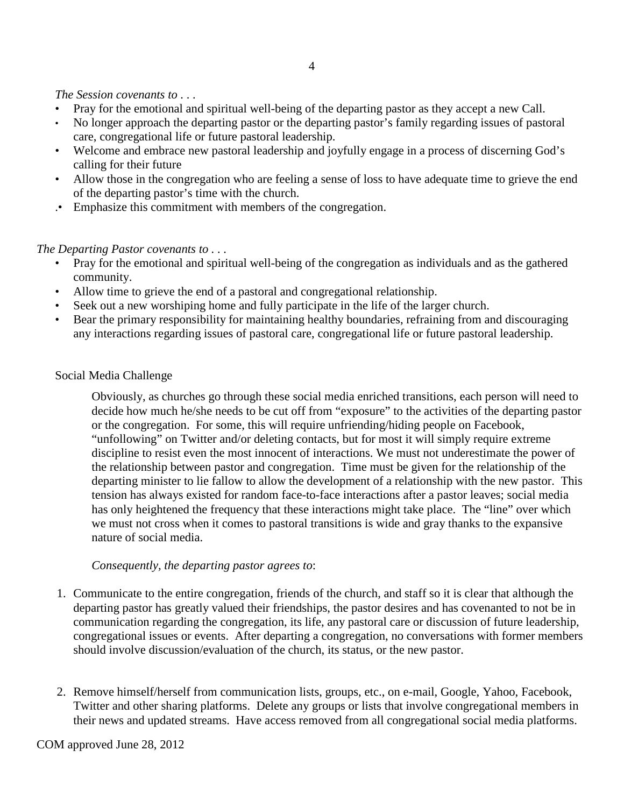#### *The Session covenants to . . .*

- Pray for the emotional and spiritual well-being of the departing pastor as they accept a new Call.
- No longer approach the departing pastor or the departing pastor's family regarding issues of pastoral care, congregational life or future pastoral leadership.
- Welcome and embrace new pastoral leadership and joyfully engage in a process of discerning God's calling for their future
- Allow those in the congregation who are feeling a sense of loss to have adequate time to grieve the end of the departing pastor's time with the church.
- .• Emphasize this commitment with members of the congregation.

#### *The Departing Pastor covenants to . . .*

- Pray for the emotional and spiritual well-being of the congregation as individuals and as the gathered community.
- Allow time to grieve the end of a pastoral and congregational relationship.
- Seek out a new worshiping home and fully participate in the life of the larger church.
- Bear the primary responsibility for maintaining healthy boundaries, refraining from and discouraging any interactions regarding issues of pastoral care, congregational life or future pastoral leadership.

## Social Media Challenge

Obviously, as churches go through these social media enriched transitions, each person will need to decide how much he/she needs to be cut off from "exposure" to the activities of the departing pastor or the congregation. For some, this will require unfriending/hiding people on Facebook, "unfollowing" on Twitter and/or deleting contacts, but for most it will simply require extreme discipline to resist even the most innocent of interactions. We must not underestimate the power of the relationship between pastor and congregation. Time must be given for the relationship of the departing minister to lie fallow to allow the development of a relationship with the new pastor. This tension has always existed for random face-to-face interactions after a pastor leaves; social media has only heightened the frequency that these interactions might take place. The "line" over which we must not cross when it comes to pastoral transitions is wide and gray thanks to the expansive nature of social media.

#### *Consequently, the departing pastor agrees to*:

- 1. Communicate to the entire congregation, friends of the church, and staff so it is clear that although the departing pastor has greatly valued their friendships, the pastor desires and has covenanted to not be in communication regarding the congregation, its life, any pastoral care or discussion of future leadership, congregational issues or events. After departing a congregation, no conversations with former members should involve discussion/evaluation of the church, its status, or the new pastor.
- 2. Remove himself/herself from communication lists, groups, etc., on e-mail, Google, Yahoo, Facebook, Twitter and other sharing platforms. Delete any groups or lists that involve congregational members in their news and updated streams. Have access removed from all congregational social media platforms.